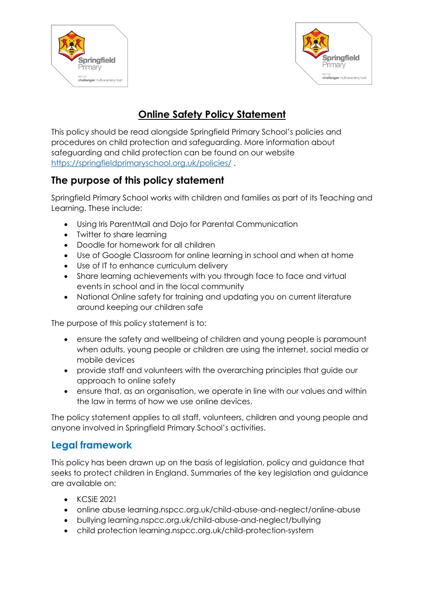



# **Online Safety Policy Statement**

This policy should be read alongside Springfield Primary School's policies and procedures on child protection and safeguarding. More information about safeguarding and child protection can be found on our website <https://springfieldprimaryschool.org.uk/policies/> .

## **The purpose of this policy statement**

Springfield Primary School works with children and families as part of its Teaching and Learning. These include:

- Using Iris ParentMail and Dojo for Parental Communication
- Twitter to share learning
- Doodle for homework for all children
- Use of Google Classroom for online learning in school and when at home
- Use of IT to enhance curriculum delivery
- Share learning achievements with you through face to face and virtual events in school and in the local community
- National Online safety for training and updating you on current literature around keeping our children safe

The purpose of this policy statement is to:

- ensure the safety and wellbeing of children and young people is paramount when adults, young people or children are using the internet, social media or mobile devices
- provide staff and volunteers with the overarching principles that guide our approach to online safety
- ensure that, as an organisation, we operate in line with our values and within the law in terms of how we use online devices.

The policy statement applies to all staff, volunteers, children and young people and anyone involved in Springfield Primary School's activities.

#### **Legal framework**

This policy has been drawn up on the basis of legislation, policy and guidance that seeks to protect children in England. Summaries of the key legislation and guidance are available on:

- KCSiE 2021
- online abuse learning.nspcc.org.uk/child-abuse-and-neglect/online-abuse
- bullying learning.nspcc.org.uk/child-abuse-and-neglect/bullying
- child protection learning.nspcc.org.uk/child-protection-system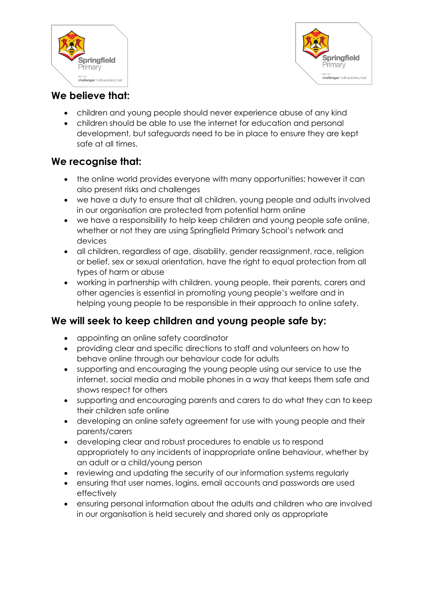



#### **We believe that:**

- children and young people should never experience abuse of any kind
- children should be able to use the internet for education and personal development, but safeguards need to be in place to ensure they are kept safe at all times.

#### **We recognise that:**

- the online world provides everyone with many opportunities; however it can also present risks and challenges
- we have a duty to ensure that all children, young people and adults involved in our organisation are protected from potential harm online
- we have a responsibility to help keep children and young people safe online, whether or not they are using Springfield Primary School's network and devices
- all children, regardless of age, disability, gender reassignment, race, religion or belief, sex or sexual orientation, have the right to equal protection from all types of harm or abuse
- working in partnership with children, young people, their parents, carers and other agencies is essential in promoting young people's welfare and in helping young people to be responsible in their approach to online safety.

#### **We will seek to keep children and young people safe by:**

- appointing an online safety coordinator
- providing clear and specific directions to staff and volunteers on how to behave online through our behaviour code for adults
- supporting and encouraging the young people using our service to use the internet, social media and mobile phones in a way that keeps them safe and shows respect for others
- supporting and encouraging parents and carers to do what they can to keep their children safe online
- developing an online safety agreement for use with young people and their parents/carers
- developing clear and robust procedures to enable us to respond appropriately to any incidents of inappropriate online behaviour, whether by an adult or a child/young person
- reviewing and updating the security of our information systems regularly
- ensuring that user names, logins, email accounts and passwords are used effectively
- ensuring personal information about the adults and children who are involved in our organisation is held securely and shared only as appropriate